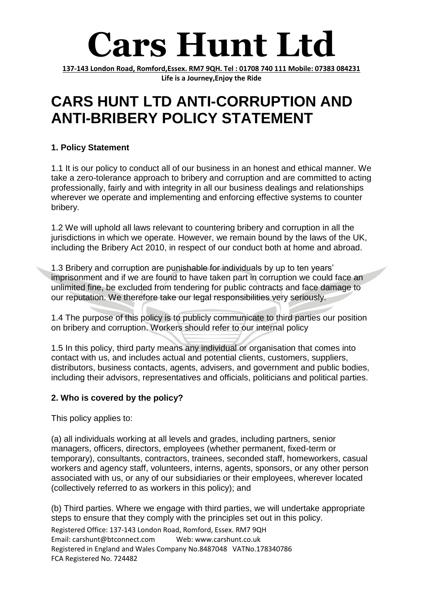# **Cars Hunt Ltd**

**137-143 London Road, Romford,Essex. RM7 9QH. Tel : 01708 740 111 Mobile: 07383 084231 Life is a Journey,Enjoy the Ride**

### **CARS HUNT LTD ANTI-CORRUPTION AND ANTI-BRIBERY POLICY STATEMENT**

#### **1. Policy Statement**

1.1 It is our policy to conduct all of our business in an honest and ethical manner. We take a zero-tolerance approach to bribery and corruption and are committed to acting professionally, fairly and with integrity in all our business dealings and relationships wherever we operate and implementing and enforcing effective systems to counter bribery.

1.2 We will uphold all laws relevant to countering bribery and corruption in all the jurisdictions in which we operate. However, we remain bound by the laws of the UK, including the Bribery Act 2010, in respect of our conduct both at home and abroad.

1.3 Bribery and corruption are punishable for individuals by up to ten years' imprisonment and if we are found to have taken part in corruption we could face an unlimited fine, be excluded from tendering for public contracts and face damage to our reputation. We therefore take our legal responsibilities very seriously.

1.4 The purpose of this policy is to publicly communicate to third parties our position on bribery and corruption. Workers should refer to our internal policy

1.5 In this policy, third party means any individual or organisation that comes into contact with us, and includes actual and potential clients, customers, suppliers, distributors, business contacts, agents, advisers, and government and public bodies, including their advisors, representatives and officials, politicians and political parties.

#### **2. Who is covered by the policy?**

This policy applies to:

(a) all individuals working at all levels and grades, including partners, senior managers, officers, directors, employees (whether permanent, fixed-term or temporary), consultants, contractors, trainees, seconded staff, homeworkers, casual workers and agency staff, volunteers, interns, agents, sponsors, or any other person associated with us, or any of our subsidiaries or their employees, wherever located (collectively referred to as workers in this policy); and

(b) Third parties. Where we engage with third parties, we will undertake appropriate steps to ensure that they comply with the principles set out in this policy.

Registered Office: 137-143 London Road, Romford, Essex. RM7 9QH Email: carshunt@btconnect.com Web: www.carshunt.co.uk Registered in England and Wales Company No.8487048 VATNo.178340786 FCA Registered No. 724482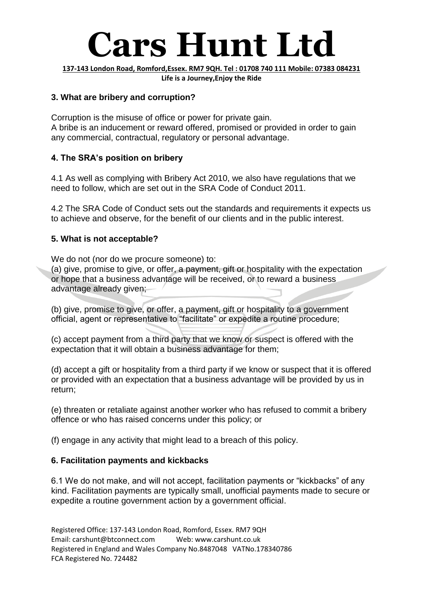## **Cars Hunt Ltd**

**137-143 London Road, Romford,Essex. RM7 9QH. Tel : 01708 740 111 Mobile: 07383 084231 Life is a Journey,Enjoy the Ride**

#### **3. What are bribery and corruption?**

Corruption is the misuse of office or power for private gain. A bribe is an inducement or reward offered, promised or provided in order to gain any commercial, contractual, regulatory or personal advantage.

#### **4. The SRA's position on bribery**

4.1 As well as complying with Bribery Act 2010, we also have regulations that we need to follow, which are set out in the SRA Code of Conduct 2011.

4.2 The SRA Code of Conduct sets out the standards and requirements it expects us to achieve and observe, for the benefit of our clients and in the public interest.

#### **5. What is not acceptable?**

We do not (nor do we procure someone) to:

(a) give, promise to give, or offer, a payment, gift or hospitality with the expectation or hope that a business advantage will be received, or to reward a business advantage already given;

(b) give, promise to give, or offer, a payment, gift or hospitality to a government official, agent or representative to "facilitate" or expedite a routine procedure;

(c) accept payment from a third party that we know or suspect is offered with the expectation that it will obtain a business advantage for them;

(d) accept a gift or hospitality from a third party if we know or suspect that it is offered or provided with an expectation that a business advantage will be provided by us in return;

(e) threaten or retaliate against another worker who has refused to commit a bribery offence or who has raised concerns under this policy; or

(f) engage in any activity that might lead to a breach of this policy.

#### **6. Facilitation payments and kickbacks**

6.1 We do not make, and will not accept, facilitation payments or "kickbacks" of any kind. Facilitation payments are typically small, unofficial payments made to secure or expedite a routine government action by a government official.

Registered Office: 137-143 London Road, Romford, Essex. RM7 9QH Email: carshunt@btconnect.com Web: www.carshunt.co.uk Registered in England and Wales Company No.8487048 VATNo.178340786 FCA Registered No. 724482